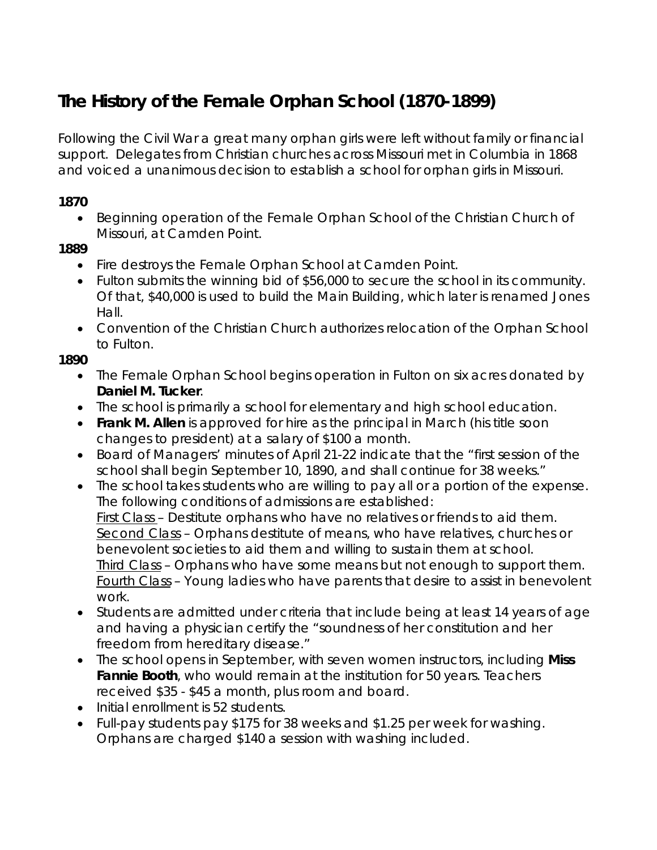# **The History of the Female Orphan School (1870-1899)**

Following the Civil War a great many orphan girls were left without family or financial support. Delegates from Christian churches across Missouri met in Columbia in 1868 and voiced a unanimous decision to establish a school for orphan girls in Missouri.

#### **1870**

• Beginning operation of the Female Orphan School of the Christian Church of Missouri, at Camden Point.

#### **1889**

- Fire destroys the Female Orphan School at Camden Point.
- Fulton submits the winning bid of \$56,000 to secure the school in its community. Of that, \$40,000 is used to build the Main Building, which later is renamed Jones Hall.
- Convention of the Christian Church authorizes relocation of the Orphan School to Fulton.

#### **1890**

- The Female Orphan School begins operation in Fulton on six acres donated by **Daniel M. Tucker**.
- The school is primarily a school for elementary and high school education.
- **Frank M. Allen** is approved for hire as the principal in March (his title soon changes to president) at a salary of \$100 a month.
- Board of Managers' minutes of April 21-22 indicate that the "first session of the school shall begin September 10, 1890, and shall continue for 38 weeks."
- The school takes students who are willing to pay all or a portion of the expense. The following conditions of admissions are established: First Class – Destitute orphans who have no relatives or friends to aid them. Second Class – Orphans destitute of means, who have relatives, churches or benevolent societies to aid them and willing to sustain them at school. Third Class – Orphans who have some means but not enough to support them. Fourth Class – Young ladies who have parents that desire to assist in benevolent work.
- Students are admitted under criteria that include being at least 14 years of age and having a physician certify the "soundness of her constitution and her freedom from hereditary disease."
- The school opens in September, with seven women instructors, including **Miss Fannie Booth**, who would remain at the institution for 50 years. Teachers received \$35 - \$45 a month, plus room and board.
- Initial enrollment is 52 students.
- Full-pay students pay \$175 for 38 weeks and \$1.25 per week for washing. Orphans are charged \$140 a session with washing included.